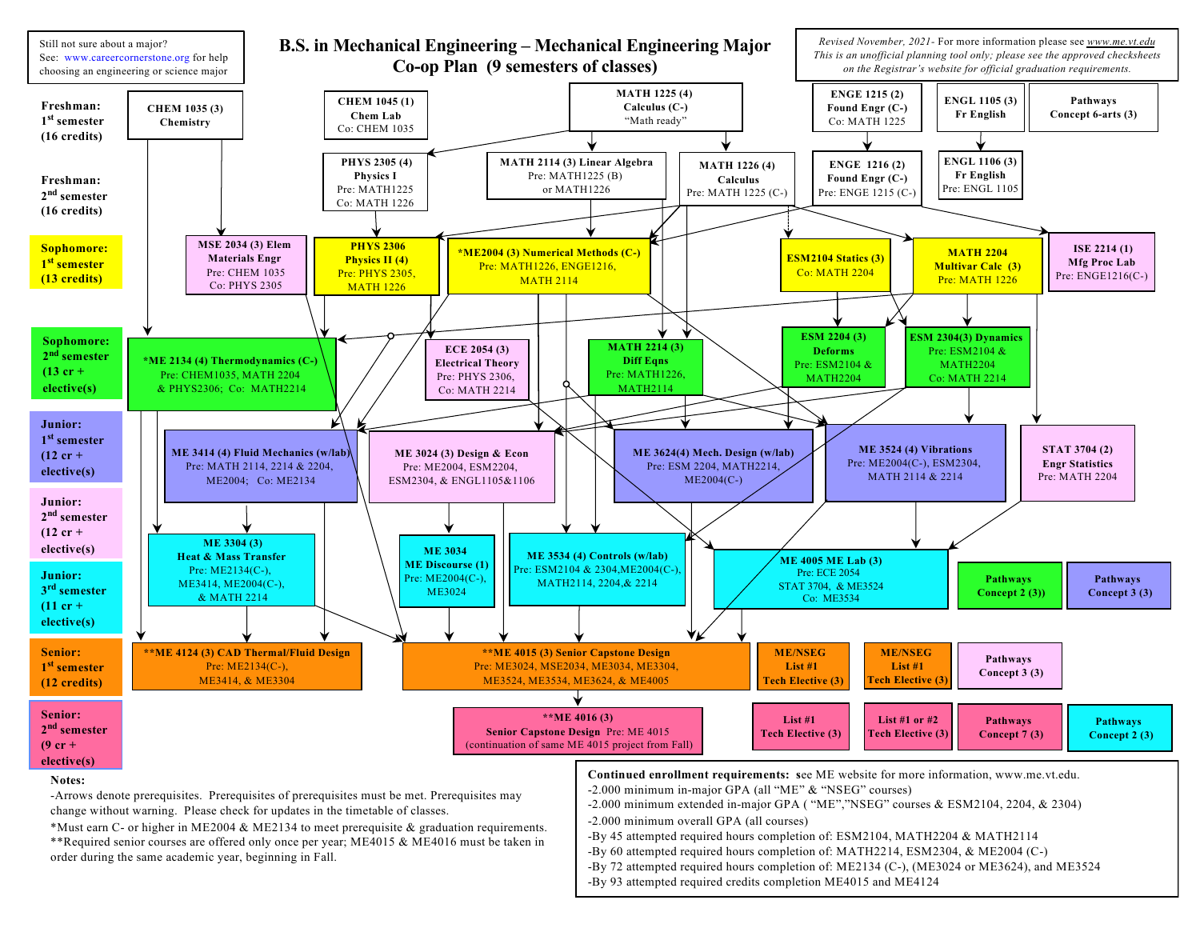

\*Must earn C- or higher in ME2004 & ME2134 to meet prerequisite & graduation requirements. \*\*Required senior courses are offered only once per year; ME4015 & ME4016 must be taken in order during the same academic year, beginning in Fall.

- -By 45 attempted required hours completion of: ESM2104, MATH2204 & MATH2114
- -By 60 attempted required hours completion of: MATH2214, ESM2304, & ME2004 (C-)
- -By 72 attempted required hours completion of: ME2134 (C-), (ME3024 or ME3624), and ME3524
- -By 93 attempted required credits completion ME4015 and ME4124